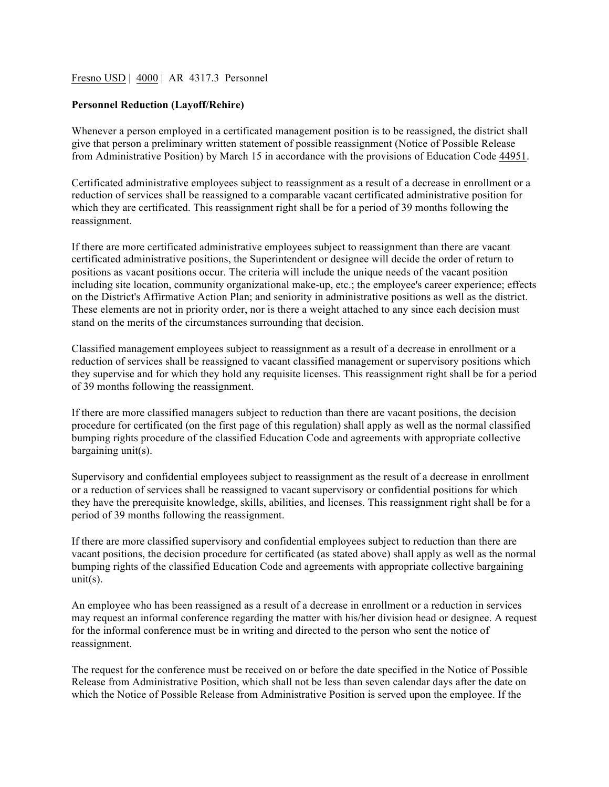## Fresno USD | 4000 | AR 4317.3 Personnel

## **Personnel Reduction (Layoff/Rehire)**

Whenever a person employed in a certificated management position is to be reassigned, the district shall give that person a preliminary written statement of possible reassignment (Notice of Possible Release from Administrative Position) by March 15 in accordance with the provisions of Education Code 44951.

Certificated administrative employees subject to reassignment as a result of a decrease in enrollment or a reduction of services shall be reassigned to a comparable vacant certificated administrative position for which they are certificated. This reassignment right shall be for a period of 39 months following the reassignment.

If there are more certificated administrative employees subject to reassignment than there are vacant certificated administrative positions, the Superintendent or designee will decide the order of return to positions as vacant positions occur. The criteria will include the unique needs of the vacant position including site location, community organizational make-up, etc.; the employee's career experience; effects on the District's Affirmative Action Plan; and seniority in administrative positions as well as the district. These elements are not in priority order, nor is there a weight attached to any since each decision must stand on the merits of the circumstances surrounding that decision.

Classified management employees subject to reassignment as a result of a decrease in enrollment or a reduction of services shall be reassigned to vacant classified management or supervisory positions which they supervise and for which they hold any requisite licenses. This reassignment right shall be for a period of 39 months following the reassignment.

If there are more classified managers subject to reduction than there are vacant positions, the decision procedure for certificated (on the first page of this regulation) shall apply as well as the normal classified bumping rights procedure of the classified Education Code and agreements with appropriate collective bargaining unit(s).

Supervisory and confidential employees subject to reassignment as the result of a decrease in enrollment or a reduction of services shall be reassigned to vacant supervisory or confidential positions for which they have the prerequisite knowledge, skills, abilities, and licenses. This reassignment right shall be for a period of 39 months following the reassignment.

If there are more classified supervisory and confidential employees subject to reduction than there are vacant positions, the decision procedure for certificated (as stated above) shall apply as well as the normal bumping rights of the classified Education Code and agreements with appropriate collective bargaining  $unit(s)$ .

An employee who has been reassigned as a result of a decrease in enrollment or a reduction in services may request an informal conference regarding the matter with his/her division head or designee. A request for the informal conference must be in writing and directed to the person who sent the notice of reassignment.

The request for the conference must be received on or before the date specified in the Notice of Possible Release from Administrative Position, which shall not be less than seven calendar days after the date on which the Notice of Possible Release from Administrative Position is served upon the employee. If the